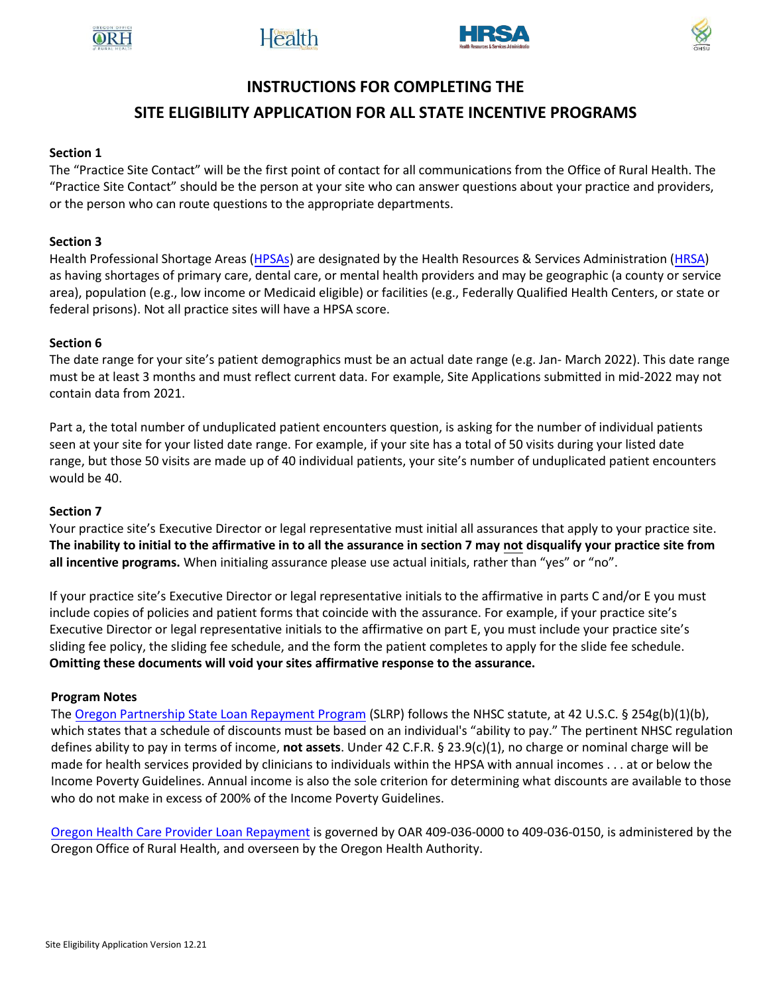





# **INSTRUCTIONS FOR COMPLETING THE**

# **SITE ELIGIBILITY APPLICATION FOR ALL STATE INCENTIVE PROGRAMS**

## **Section 1**

The "Practice Site Contact" will be the first point of contact for all communications from the Office of Rural Health. The "Practice Site Contact" should be the person at your site who can answer questions about your practice and providers, or the person who can route questions to the appropriate departments.

### **Section 3**

Health Professional Shortage Areas [\(HPSAs\)](https://bhw.hrsa.gov/shortage-designation) are designated by the Health Resources & Services Administration [\(HRSA\)](https://www.hrsa.gov/) as having shortages of primary care, dental care, or mental health providers and may be geographic (a county or service area), population (e.g., low income or Medicaid eligible) or facilities (e.g., Federally Qualified Health Centers, or state or federal prisons). Not all practice sites will have a HPSA score.

#### **Section 6**

The date range for your site's patient demographics must be an actual date range (e.g. Jan- March 2022). This date range must be at least 3 months and must reflect current data. For example, Site Applications submitted in mid-2022 may not contain data from 2021.

Part a, the total number of unduplicated patient encounters question, is asking for the number of individual patients seen at your site for your listed date range. For example, if your site has a total of 50 visits during your listed date range, but those 50 visits are made up of 40 individual patients, your site's number of unduplicated patient encounters would be 40.

#### **Section 7**

Your practice site's Executive Director or legal representative must initial all assurances that apply to your practice site. **The inability to initial to the affirmative in to all the assurance in section 7 may not disqualify your practice site from all incentive programs.** When initialing assurance please use actual initials, rather than "yes" or "no".

If your practice site's Executive Director or legal representative initials to the affirmative in parts C and/or E you must include copies of policies and patient forms that coincide with the assurance. For example, if your practice site's Executive Director or legal representative initials to the affirmative on part E, you must include your practice site's sliding fee policy, the sliding fee schedule, and the form the patient completes to apply for the slide fee schedule. **Omitting these documents will void your sites affirmative response to the assurance.** 

#### **Program Notes**

Th[e Oregon Partnership State Loan Repayment Program](https://www.ohsu.edu/xd/outreach/oregon-rural-health/provider-incentives/loan-repayment/slrp.cfm) (SLRP) follows the NHSC statute, at 42 U.S.C. § 254g(b)(1)(b), which states that a schedule of discounts must be based on an individual's "ability to pay." The pertinent NHSC regulation defines ability to pay in terms of income, **not assets**. Under 42 C.F.R. § 23.9(c)(1), no charge or nominal charge will be made for health services provided by clinicians to individuals within the HPSA with annual incomes . . . at or below the Income Poverty Guidelines. Annual income is also the sole criterion for determining what discounts are available to those who do not make in excess of 200% of the Income Poverty Guidelines.

[Oregon Health Care Provider Loan Repayment](https://www.ohsu.edu/xd/outreach/oregon-rural-health/provider-incentives/loan-repayment/index.cfm) is governed by OAR 409-036-0000 to 409-036-0150, is administered by the Oregon Office of Rural Health, and overseen by the Oregon Health Authority.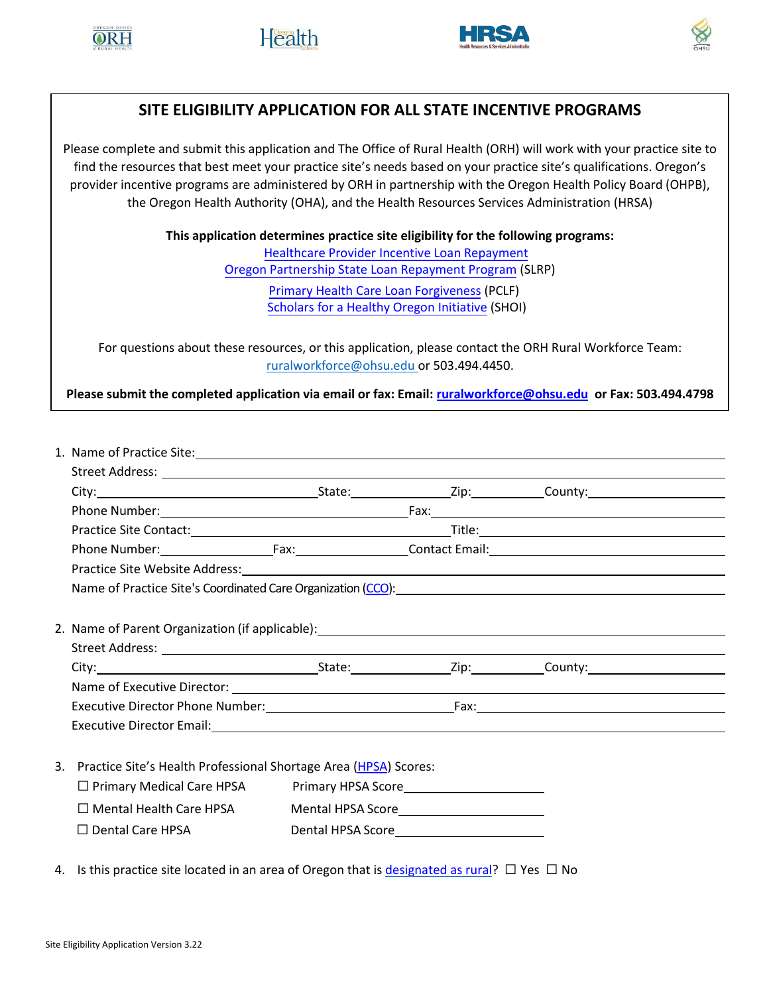





# **SITE ELIGIBILITY APPLICATION FOR ALL STATE INCENTIVE PROGRAMS**

Please complete and submit this application and The Office of Rural Health (ORH) will work with your practice site to find the resources that best meet your practice site's needs based on your practice site's qualifications. Oregon's provider incentive programs are administered by ORH in partnership with the Oregon Health Policy Board (OHPB), the Oregon Health Authority (OHA), and the Health Resources Services Administration (HRSA)

> **This application determines practice site eligibility for the following programs:**  [Healthcare Provider Incentive Loan Repayment](https://www.ohsu.edu/xd/outreach/oregon-rural-health/provider-incentives/loan-repayment/ompclrp.cfm)  [Oregon Partnership State Loan Repayment Program](https://www.ohsu.edu/xd/outreach/oregon-rural-health/provider-incentives/loan-repayment/slrp.cfm) (SLRP) [Primary Health Care Loan Forgiveness](https://www.ohsu.edu/oregon-office-of-rural-health/oregon-behavioral-health-loan-repayment-program) (PCLF)

> > [Scholars for a Healthy Oregon Initiative](https://www.ohsu.edu/xd/outreach/oregon-rural-health/provider-incentives/loan-forgiveness/pclf.cfm) (SHOI)

For questions about these resources, or this application, please contact the ORH Rural Workforce Team: [ruralworkforce@ohsu.edu](mailto:ruralworkforce@ohsu.edu) or 503.494.4450.

**Please submit the completed application via email or fax: Email[: ruralworkforce@ohsu.edu](mailto:ruralworkforce@ohsu.edu) or Fax: 503.494.4798**

| Name of Practice Site's Coordinated Care Organization (CCO): Manual Community of Practice Site's Coordinated Care Organization (CCO):                                                                                          |                                                                                                                                                                                                                                      |  |  |  |  |
|--------------------------------------------------------------------------------------------------------------------------------------------------------------------------------------------------------------------------------|--------------------------------------------------------------------------------------------------------------------------------------------------------------------------------------------------------------------------------------|--|--|--|--|
|                                                                                                                                                                                                                                |                                                                                                                                                                                                                                      |  |  |  |  |
|                                                                                                                                                                                                                                |                                                                                                                                                                                                                                      |  |  |  |  |
|                                                                                                                                                                                                                                |                                                                                                                                                                                                                                      |  |  |  |  |
| City: City: City: City: County: County: County: County: County: County: County: County: County: County: County: County: County: County: County: County: County: County: County: County: County: County: County: County: County |                                                                                                                                                                                                                                      |  |  |  |  |
|                                                                                                                                                                                                                                |                                                                                                                                                                                                                                      |  |  |  |  |
|                                                                                                                                                                                                                                |                                                                                                                                                                                                                                      |  |  |  |  |
|                                                                                                                                                                                                                                |                                                                                                                                                                                                                                      |  |  |  |  |
|                                                                                                                                                                                                                                |                                                                                                                                                                                                                                      |  |  |  |  |
| 3. Practice Site's Health Professional Shortage Area (HPSA) Scores:                                                                                                                                                            |                                                                                                                                                                                                                                      |  |  |  |  |
| □ Primary Medical Care HPSA Primary HPSA Score<br>Primary HPSA Score  2019                                                                                                                                                     |                                                                                                                                                                                                                                      |  |  |  |  |
| $\square$ Mental Health Care HPSA                                                                                                                                                                                              | Mental HPSA Score <u> Letter and the set of the set of the set of the set of the set of the set of the set of the set of the set of the set of the set of the set of the set of the set of the set of the set of the set of the </u> |  |  |  |  |
| $\Box$ Dental Care HPSA                                                                                                                                                                                                        | Dental HPSA Score <u> </u>                                                                                                                                                                                                           |  |  |  |  |
|                                                                                                                                                                                                                                |                                                                                                                                                                                                                                      |  |  |  |  |

4. Is this practice site located in an area of Oregon that i[s designated as rural?](https://www.ohsu.edu/xd/outreach/oregon-rural-health/about-rural-frontier/index.cfm)  $\Box$  Yes  $\Box$  No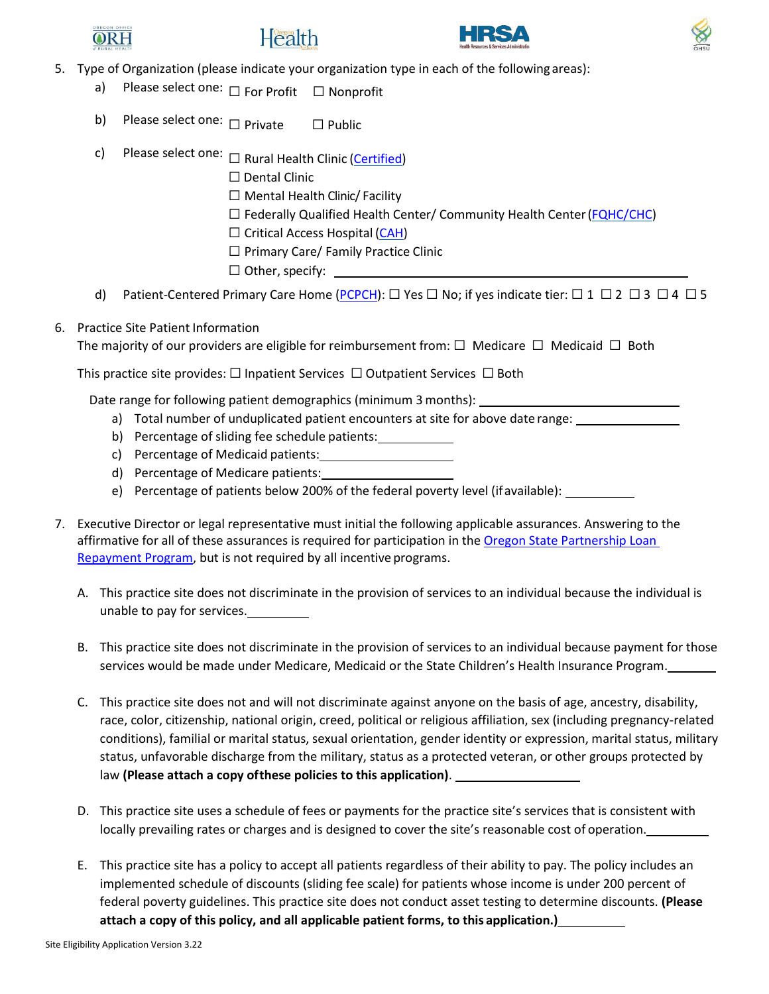







- 5. Type of Organization (please indicate your organization type in each of the following areas):
	- a) Please select one: □ For Profit □ Nonprofit
	- b) Please select one: □ Private □ Public
	- c) Please select one: □ Rural Health Clinic [\(Certified\)](https://www.ohsu.edu/oregon-office-of-rural-health/rural-and-frontier-clinics) d) Patient-Centered Primary Care Home [\(PCPCH\)](https://www.oregon.gov/oha/HPA/CSI-PCPCH/Pages/Standards.aspx):  $\Box$  Yes  $\Box$  No; if yes indicate tier:  $\Box$  1  $\Box$  2  $\Box$  3  $\Box$  4  $\Box$  5 ☐ Dental Clinic  $\Box$  Mental Health Clinic/ Facility ☐ Federally Qualified Health Center/ Community Health Center[\(FQHC/CHC\)](https://findahealthcenter.hrsa.gov/)  $\Box$  Critical Access Hospital [\(CAH\)](https://www.ohsu.edu/oregon-office-of-rural-health/oregons-cahs) ☐ Primary Care/ Family Practice Clinic  $\Box$  Other, specify:
- 6. Practice Site Patient Information

The majority of our providers are eligible for reimbursement from:  $\Box$  Medicare  $\Box$  Medicaid  $\Box$  Both

This practice site provides:  $\Box$  Inpatient Services  $\Box$  Outpatient Services  $\Box$  Both

Date range for following patient demographics (minimum 3 months):

- a) Total number of unduplicated patient encounters at site for above date range:
- b) Percentage of sliding fee schedule patients:
- c) Percentage of Medicaid patients:
- d) Percentage of Medicare patients:
- e) Percentage of patients below 200% of the federal poverty level (ifavailable):
- 7. Executive Director or legal representative must initial the following applicable assurances. Answering to the affirmative for all of these assurances is required for participation in the [Oregon State Partnership Loan](https://www.ohsu.edu/xd/outreach/oregon-rural-health/provider-incentives/loan-repayment/slrp.cfm) [Repayment Program,](https://www.ohsu.edu/xd/outreach/oregon-rural-health/provider-incentives/loan-repayment/slrp.cfm) but is not required by all incentive programs.
	- A. This practice site does not discriminate in the provision of services to an individual because the individual is unable to pay for services.
	- B. This practice site does not discriminate in the provision of services to an individual because payment for those services would be made under Medicare, Medicaid or the State Children's Health Insurance Program.
	- C. This practice site does not and will not discriminate against anyone on the basis of age, ancestry, disability, race, color, citizenship, national origin, creed, political or religious affiliation, sex (including pregnancy-related conditions), familial or marital status, sexual orientation, gender identity or expression, marital status, military status, unfavorable discharge from the military, status as a protected veteran, or other groups protected by law **(Please attach a copy ofthese policies to this application)**.
	- D. This practice site uses a schedule of fees or payments for the practice site's services that is consistent with locally prevailing rates or charges and is designed to cover the site's reasonable cost of operation.
	- E. This practice site has a policy to accept all patients regardless of their ability to pay. The policy includes an implemented schedule of discounts (sliding fee scale) for patients whose income is under 200 percent of federal poverty guidelines. This practice site does not conduct asset testing to determine discounts. **(Please attach a copy of this policy, and all applicable patient forms, to this application.)**